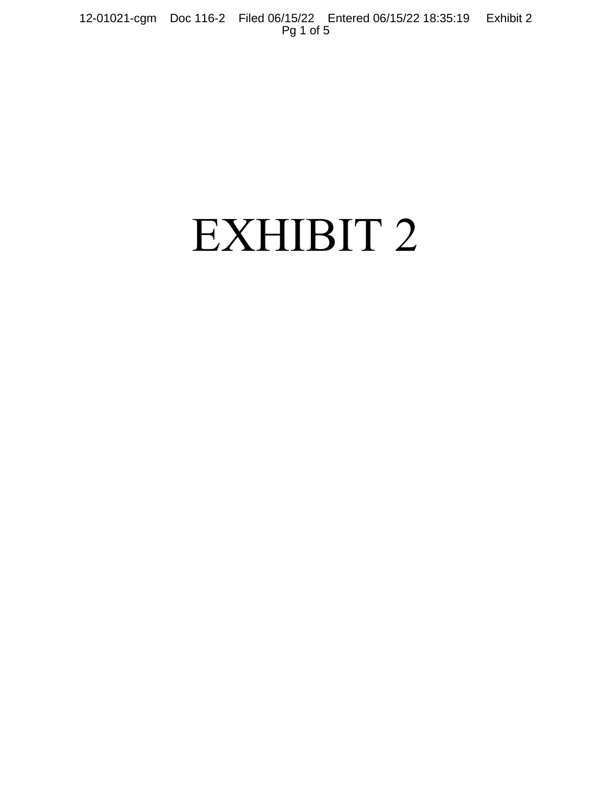12-01021-cgm Doc 116-2 Filed 06/15/22 Entered 06/15/22 18:35:19 Exhibit 2 Pg 1 of 5

# EXHIBIT 2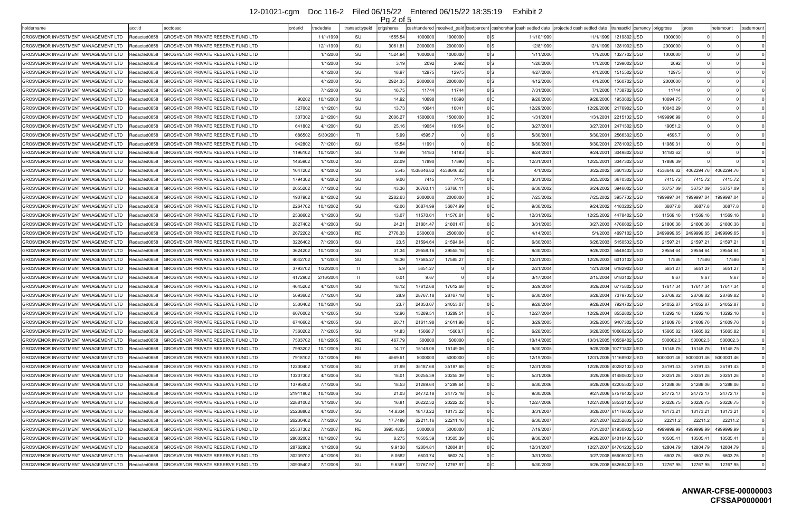|                                            |               |                                           |          |           |                | . <u>y –</u> v. v |                      |                      |                  |                                                                                                     |                          |                         |                               |            |            |                |
|--------------------------------------------|---------------|-------------------------------------------|----------|-----------|----------------|-------------------|----------------------|----------------------|------------------|-----------------------------------------------------------------------------------------------------|--------------------------|-------------------------|-------------------------------|------------|------------|----------------|
| holdername                                 | acctid        | acctdesc                                  | orderid  | radedate  | transacttypeid | origshares        |                      |                      |                  | cashtendered  received paid loadpercent  cashorshar  cash settled date  projected cash settled date |                          |                         | transactid currency origgross | gross      | netamount  | badamount      |
| GROSVENOR INVESTMENT MANAGEMENT LTD        | Redacted0658  | GROSVENOR PRIVATE RESERVE FUND LTD        |          | 11/1/1999 | SU             | 1555.54           | 1000000              | 1000000              |                  | 11/10/1999                                                                                          | 11/1/1999                | 1219802 USD             | 1000000                       |            |            |                |
| GROSVENOR INVESTMENT MANAGEMENT LTD        | Redacted0658  | GROSVENOR PRIVATE RESERVE FUND LTD        |          | 12/1/1999 | SU             | 3061.8'           | 2000000              | 2000000              | 0 IS             | 12/8/1999                                                                                           | 12/1/1999                | 1281902 USD             | 2000000                       |            |            |                |
| GROSVENOR INVESTMENT MANAGEMENT LTD        | Redacted0658  | GROSVENOR PRIVATE RESERVE FUND LTD        |          | 1/1/2000  | SU             | 1524.94           | 1000000              | 1000000              |                  | 1/11/2000                                                                                           | 1/1/2000                 | 1327702 USD             | 1000000                       |            |            |                |
| GROSVENOR INVESTMENT MANAGEMENT LTD        | Redacted0658  | GROSVENOR PRIVATE RESERVE FUND LTD        |          | 1/1/2000  | SU             | 3.19              | 2092                 | 2092                 | 0 IS             | 1/20/2000                                                                                           | 1/1/2000                 | 1299002 USD             | 2092                          |            |            |                |
| GROSVENOR INVESTMENT MANAGEMENT LTD        | Redacted0658  | GROSVENOR PRIVATE RESERVE FUND LTD        |          | 4/1/2000  | SU             | 18.97             | 12975                | 12975                | 0 IS             | 4/27/2000                                                                                           | 4/1/2000                 | 1515502 USD             | 12975                         |            |            |                |
| GROSVENOR INVESTMENT MANAGEMENT LTD        | Redacted0658  | GROSVENOR PRIVATE RESERVE FUND LTD        |          | 4/1/2000  | SU             | 2924.35           | 2000000              | 2000000              | n Is             | 4/12/2000                                                                                           | 4/1/2000                 | 1560702 USD             | 2000000                       |            |            |                |
| GROSVENOR INVESTMENT MANAGEMENT LTD        | Redacted0658  | GROSVENOR PRIVATE RESERVE FUND LTD        |          | 7/1/2000  | SU             | 16.75             | 11744                | 11744                | 0 IS             | 7/31/2000                                                                                           | 7/1/2000                 | 1738702 USD             | 11744                         |            |            |                |
| GROSVENOR INVESTMENT MANAGEMENT LTD        | Redacted0658  | GROSVENOR PRIVATE RESERVE FUND LTD        | 90202    | 10/1/2000 | SU             | 14.92             | 10698                | 10698                |                  | 9/28/2000                                                                                           | 9/28/2000                | 1953602 USD             | 10694.75                      |            |            |                |
| <b>GROSVENOR INVESTMENT MANAGEMENT LTD</b> | Redacted0658  | GROSVENOR PRIVATE RESERVE FUND LTD        | 327002   | 1/1/2001  | SU             | 13.73             | 10041                | 10041                | 0 <sup>1</sup> C | 12/29/2000                                                                                          | 12/29/2000               | 2176902 USD             | 10043.29                      |            |            |                |
| GROSVENOR INVESTMENT MANAGEMENT LTD        | Redacted0658  | GROSVENOR PRIVATE RESERVE FUND LTD        | 307302   | 2/1/200   | SU             | 2006.27           | 1500000              | 1500000              |                  | 1/31/2001                                                                                           | 1/31/2001                | 2215102 USD             | 1499996.99                    |            |            |                |
| GROSVENOR INVESTMENT MANAGEMENT LTD        | Redacted0658  | GROSVENOR PRIVATE RESERVE FUND LTD        | 641802   | 4/1/200   | SU             | 25.16             | 19054                | 19054                |                  | 3/27/2001                                                                                           | 3/27/2001                | 2471302 USD             | 19051.2                       |            |            |                |
| GROSVENOR INVESTMENT MANAGEMENT LTD        | Redacted0658  | GROSVENOR PRIVATE RESERVE FUND LTD        | 686502   | 5/30/200  | TI             | 5.99              | 4595.7               |                      | 0 IS             | 5/30/2001                                                                                           | 5/30/2001                | 2566302 USD             | 4595.7                        |            |            |                |
| GROSVENOR INVESTMENT MANAGEMENT LTD        | Redacted0658  | GROSVENOR PRIVATE RESERVE FUND LTD        | 942802   | 7/1/200   | SU             | 15.54             | 11991                |                      |                  | 6/30/2001                                                                                           | 6/30/2001                | 2781002 USD             | 11989.31                      |            |            |                |
| GROSVENOR INVESTMENT MANAGEMENT LTD        | Redacted0658  | GROSVENOR PRIVATE RESERVE FUND LTD        | 1196102  | 10/1/200  | SU             | 17.99             | 14183                | 14183                |                  | 9/24/2001                                                                                           | 9/24/2001                | 3049802 USD             | 14183.62                      |            |            |                |
| GROSVENOR INVESTMENT MANAGEMENT LTD        | lRedacted0658 | GROSVENOR PRIVATE RESERVE FUND LTD        | 1465902  | 1/1/2002  | SU             | 22.09             | 17890                | 17890                | 0 <sup>1</sup> C | 12/31/2001                                                                                          | 12/25/2001               | 3347302 USD             | 17886.39                      |            |            |                |
| GROSVENOR INVESTMENT MANAGEMENT LTD        | Redacted0658  | GROSVENOR PRIVATE RESERVE FUND LTD        | 1647202  | 4/1/2002  | SU             | 554               | 4538646.82           | 4538646.82           | n Is             | 4/1/2002                                                                                            | 3/22/2002                | 3601302 USD             | 4538646.82                    | 4062294.76 | 4062294.76 |                |
| <b>GROSVENOR INVESTMENT MANAGEMENT LTD</b> | Redacted0658  | GROSVENOR PRIVATE RESERVE FUND LTD        | 1794302  | 4/1/2002  | SU             | 9.06              | 7415                 | 7415                 | 0 <sup>1</sup> C | 3/31/2002                                                                                           | 3/25/2002                | 3670302 USD             | 7415.72                       | 7415.72    | 7415.72    |                |
| GROSVENOR INVESTMENT MANAGEMENT LTD        | Redacted0658  | GROSVENOR PRIVATE RESERVE FUND LTD        | 2055202  | 7/1/2002  | SU             | 43.36             | 36760.1              | 36760.11             | 0 <sup>1</sup> C | 6/30/2002                                                                                           | 6/24/2002                | 3946002 USD             | 36757.09                      | 36757.09   | 36757.09   |                |
| GROSVENOR INVESTMENT MANAGEMENT LTD        | Redacted0658  | GROSVENOR PRIVATE RESERVE FUND LTD        | 1907902  | 8/1/2002  | SU             | 2282.63           | 2000000              | 2000000              | 0 <sup>1</sup> C | 7/25/2002                                                                                           | 7/25/2002                | 3957702 USD             | 1999997.04                    | 1999997.04 | 1999997.04 |                |
| GROSVENOR INVESTMENT MANAGEMENT LTD        | Redacted0658  | GROSVENOR PRIVATE RESERVE FUND LTD        | 2264702  | 10/1/2002 | SU             | 42.06             | 36874.99             | 36874.99             |                  | 9/30/2002                                                                                           | 9/24/2002                | 4183202 USD             | 36877.8                       | 36877.     | 36877.8    |                |
| GROSVENOR INVESTMENT MANAGEMENT LTD        | Redacted0658  | GROSVENOR PRIVATE RESERVE FUND LTD        | 2538602  | 1/1/2003  | SU             | 13.07             | 11570.61             | 11570.61             |                  | 12/31/2002                                                                                          | 12/25/2002               | 4478402 USD             | 11569.16                      | 11569.16   | 11569.16   |                |
| GROSVENOR INVESTMENT MANAGEMENT LTD        | Redacted0658  | GROSVENOR PRIVATE RESERVE FUND LTD        | 2827402  | 4/1/2003  | SU             | $24.2^{\circ}$    | 21801.47             | 21801.47             |                  | 3/31/2003                                                                                           | 3/27/2003                | 4766602 USD             | 21800.36                      | 21800.36   | 21800.36   |                |
| <b>GROSVENOR INVESTMENT MANAGEMENT LTD</b> | Redacted0658  | GROSVENOR PRIVATE RESERVE FUND LTD        | 2672202  | 4/1/2003  | RE             | 2776.33           | 2500000              | 2500000              |                  | 4/14/2003                                                                                           | 5/1/2003                 | 4697102 USD             | 2499999.65                    | 2499999.6  | 2499999.65 |                |
| <b>GROSVENOR INVESTMENT MANAGEMENT LTD</b> | Redacted0658  | GROSVENOR PRIVATE RESERVE FUND LTD        | 3226402  | 7/1/2003  | SU             | 23.5              | 21594.64             | 21594.64             | 0 <sup>1</sup> C | 6/30/2003                                                                                           | 6/26/2003                | 5150502 USD             | 21597.21                      | 21597.21   | 21597.21   |                |
| GROSVENOR INVESTMENT MANAGEMENT LTD        | Redacted0658  | GROSVENOR PRIVATE RESERVE FUND LTD        | 3624202  | 10/1/2003 | SU             | 31.34             | 29558.1              | 29558.16             |                  | 9/30/2003                                                                                           | 9/26/2003                | 5548402 USD             | 29554.64                      | 29554.64   | 29554.64   |                |
| GROSVENOR INVESTMENT MANAGEMENT LTD        | Redacted0658  | GROSVENOR PRIVATE RESERVE FUND LTD        | 4042702  | 1/1/2004  | SU             | 18.36             | 17585.27             | 17585.27             |                  | 12/31/2003                                                                                          | 12/29/2003               | 6013102 USD             | 17586                         | 17586      | 17586      |                |
| GROSVENOR INVESTMENT MANAGEMENT LTD        | Redacted0658  | GROSVENOR PRIVATE RESERVE FUND LTD        | 3793702  | 1/22/2004 | TI             | 5.9               | 5651.27              |                      | 0 IS             | 2/21/2004                                                                                           | 1/21/2004                | 6182902 USD             | 5651.27                       | 5651.27    | 5651.27    |                |
| GROSVENOR INVESTMENT MANAGEMENT LTD        | Redacted0658  | GROSVENOR PRIVATE RESERVE FUND LTD        | 4172902  | 2/16/2004 | TI             | 0.01              | 9.67                 |                      |                  | 3/17/2004                                                                                           | 2/15/2004                | 6183102 USD             | 9.67                          | 9.67       | 9.67       |                |
| GROSVENOR INVESTMENT MANAGEMENT LTD        | Redacted0658  | GROSVENOR PRIVATE RESERVE FUND LTD        | 4645202  | 4/1/2004  | SU             | 18.12             | 17612.68             | 17612.68             |                  | 3/29/2004                                                                                           | 3/29/2004                | 6775802 USD             | 17617.34                      | 17617.34   | 17617.34   |                |
| GROSVENOR INVESTMENT MANAGEMENT LTD        | Redacted0658  | GROSVENOR PRIVATE RESERVE FUND LTD        | 5093602  | 7/1/2004  | SU             | 28.9              | 28767.18             | 28767.18             |                  | 6/30/2004                                                                                           | 6/28/2004                | 7379702 USD             | 28769.82                      | 28769.82   | 28769.82   |                |
| GROSVENOR INVESTMENT MANAGEMENT LTD        | Redacted0658  | GROSVENOR PRIVATE RESERVE FUND LTD        | 5500402  | 10/1/2004 | SU             | 23.7              | 24053.07             | 24053.07             | 0 IC.            | 9/28/2004                                                                                           | 9/28/2004                | 7924702 USD             | 24052.87                      | 24052.87   | 24052.87   |                |
| GROSVENOR INVESTMENT MANAGEMENT LTD        | Redacted0658  | <b>GROSVENOR PRIVATE RESERVE FUND LTD</b> | 6076002  | 1/1/2005  | SU             | 12.96             | 13289.51             | 13289.51             | 0C               | 12/27/2004                                                                                          | 12/29/2004   8552802 USD |                         | 13292.16                      | 13292.16   | 13292.16   |                |
| <b>GROSVENOR INVESTMENT MANAGEMENT LTD</b> | Redacted0658  | <b>GROSVENOR PRIVATE RESERVE FUND LTD</b> | 6746602  | 4/1/2005  | SU             | 20.71             | 21611.98             | 21611.98             |                  | 3/29/2005                                                                                           |                          | 3/29/2005   9407302 USD | 21609.76                      | 21609.76   | 21609.76   |                |
| GROSVENOR INVESTMENT MANAGEMENT LTD        | Redacted0658  | GROSVENOR PRIVATE RESERVE FUND LTD        | 7360202  | 7/1/2005  | SU             | 14.83             | 15668.7              | 15668.7              | 0 IC             | 6/28/2005                                                                                           |                          | 6/28/2005 10060202 USD  | 15665.82                      | 15665.82   | 15665.82   | $\Omega$       |
| GROSVENOR INVESTMENT MANAGEMENT LTD        | Redacted0658  | GROSVENOR PRIVATE RESERVE FUND LTD        | 7503702  | 10/1/2005 | RE             | 467.79            | 500000               | 500000               | 0 IC .           | 10/14/2005                                                                                          | 10/31/2005 10559402 USD  |                         | 500002.3                      | 500002.    | 500002.3   |                |
| <b>GROSVENOR INVESTMENT MANAGEMENT LTD</b> | Redacted0658  | GROSVENOR PRIVATE RESERVE FUND LTD        | 7993202  | 10/1/2005 | SU             | 14.17             | 15149.06             | 15149.06             | o Ic             | 9/30/2005                                                                                           |                          | 9/28/2005 10771802 USD  | 15145.75                      | 15145.75   | 15145.75   |                |
| <b>GROSVENOR INVESTMENT MANAGEMENT LTD</b> |               | <b>GROSVENOR PRIVATE RESERVE FUND LTD</b> |          |           | RE             |                   | 5000000              |                      | 0 IC             |                                                                                                     |                          |                         |                               |            |            |                |
|                                            | Redacted0658  |                                           | 7918102  | 12/1/2005 |                | 4569.6            |                      | 5000000              |                  | 12/19/2005                                                                                          | 12/31/2005 11168902 USD  |                         | 5000001.46                    | 5000001.46 | 5000001.46 |                |
| GROSVENOR INVESTMENT MANAGEMENT LTD        | Redacted0658  | GROSVENOR PRIVATE RESERVE FUND LTD        | 12200402 | 1/1/2006  | SU<br>SU       | 31.99             | 35187.68<br>20255.39 | 35187.68<br>20255.39 | 0 IC             | 12/31/2005                                                                                          | 12/28/2005 40282102 USD  | 3/29/2006 41480602 USD  | 35191.43                      | 35191.4    | 35191.43   | $\Omega$       |
| <b>GROSVENOR INVESTMENT MANAGEMENT LTD</b> | Redacted0658  | GROSVENOR PRIVATE RESERVE FUND LTD        | 13207302 | 4/1/2006  |                | 18.01             |                      |                      |                  | 5/31/2006                                                                                           |                          |                         | 20251.28                      | 20251.28   | 20251.28   |                |
| GROSVENOR INVESTMENT MANAGEMENT LTD        | Redacted0658  | GROSVENOR PRIVATE RESERVE FUND LTD        | 13795002 | 7/1/2006  | SU             | 18.53             | 21289.64             | 21289.64             | 0 IC             | 6/30/2006                                                                                           |                          | 6/28/2006 42205502 USD  | 21288.06                      | 21288.06   | 21288.06   | $\cap$         |
| GROSVENOR INVESTMENT MANAGEMENT LTD        | Redacted0658  | GROSVENOR PRIVATE RESERVE FUND LTD        | 21911802 | 10/1/2006 | SU             | 21.03             | 24772.18             | 24772.18             | 0 IC             | 9/30/2006                                                                                           |                          | 9/27/2006 57576402 USD  | 24772.17                      | 24772.1    | 24772.17   |                |
| GROSVENOR INVESTMENT MANAGEMENT LTD        | Redacted0658  | GROSVENOR PRIVATE RESERVE FUND LTD        | 22881002 | 1/1/2007  | SU             | 16.81             | 20222.32             | 20222.32             | 0 IC             | 12/27/2006                                                                                          | 12/27/2006 58532102 USD  |                         | 20226.75                      | 20226.7    | 20226.75   |                |
| GROSVENOR INVESTMENT MANAGEMENT LTD        | Redacted0658  | GROSVENOR PRIVATE RESERVE FUND LTD        | 25238802 | 4/1/2007  | SU             | 14.8334           | 18173.22             | 18173.22             | 0 IC             | 3/31/2007                                                                                           |                          | 3/28/2007 61176602 USD  | 18173.21                      | 18173.2    | 18173.21   |                |
| GROSVENOR INVESTMENT MANAGEMENT LTD        | Redacted0658  | <b>GROSVENOR PRIVATE RESERVE FUND LTD</b> | 26230402 | 7/1/2007  | SU             | 17.7489           | 22211.16             | 22211.16             | 0 IC             | 6/30/2007                                                                                           |                          | 6/27/2007 62252802 USD  | 22211.2                       | 22211.2    | 22211.2    | $\Omega$       |
| GROSVENOR INVESTMENT MANAGEMENT LTD        | Redacted0658  | GROSVENOR PRIVATE RESERVE FUND LTD        | 25337302 | 7/1/2007  | RE             | 3995.4835         | 5000000              | 5000000              | 0 IC             | 7/19/2007                                                                                           |                          | 7/31/2007 61930902 USD  | 4999999.99                    | 4999999.99 | 4999999.99 |                |
| GROSVENOR INVESTMENT MANAGEMENT LTD        | Redacted0658  | GROSVENOR PRIVATE RESERVE FUND LTD        | 28002002 | 10/1/2007 | SU             | 8.275             | 10505.39             | 10505.39             | 0C               | 9/30/2007                                                                                           |                          | 9/26/2007 64016402 USD  | 10505.41                      | 10505.4    | 10505.41   | $\Omega$       |
| GROSVENOR INVESTMENT MANAGEMENT LTD        | Redacted0658  | GROSVENOR PRIVATE RESERVE FUND LTD        | 28762802 | 1/1/2008  | SU             | 9.9138            | 12804.81             | 12804.81             | 0 IC             | 12/31/2007                                                                                          | 12/27/2007 64761202 USD  |                         | 12804.79                      | 12804.79   | 12804.79   | $\Omega$       |
| GROSVENOR INVESTMENT MANAGEMENT LTD        | Redacted0658  | <b>GROSVENOR PRIVATE RESERVE FUND LTD</b> | 30239702 | 4/1/2008  | SU             | 5.0682            | 6603.74              | 6603.74              | 0 IC             | 3/31/2008                                                                                           |                          | 3/27/2008 66605002 USD  | 6603.75                       | 6603.7     | 6603.75    |                |
| GROSVENOR INVESTMENT MANAGEMENT LTD        | Redacted0658  | GROSVENOR PRIVATE RESERVE FUND LTD        | 30905402 | 7/1/2008  | SU             | 9.6367            | 12767.97             | 12767.97             | 0 C              | 6/30/2008                                                                                           |                          | 6/26/2008 68268402 USD  | 12767.95                      | 12767.95   | 12767.95   | $\overline{0}$ |

|  | Pa 2<br>∩f⊺ |
|--|-------------|
|--|-------------|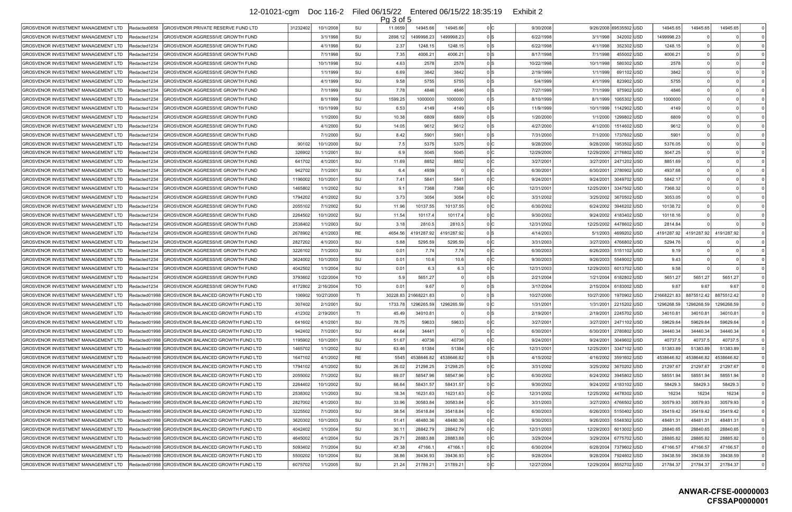|                                            |               |                                                    |                       |                | Pg 3 of 5      |                      |            |                  |            |            |              |             |            |            |          |
|--------------------------------------------|---------------|----------------------------------------------------|-----------------------|----------------|----------------|----------------------|------------|------------------|------------|------------|--------------|-------------|------------|------------|----------|
| GROSVENOR INVESTMENT MANAGEMENT LTD        | Redacted0658  | GROSVENOR PRIVATE RESERVE FUND LTD                 | 31232402<br>10/1/2008 | SU             | 11.0659        | 14945.66             | 14945.66   | n IC.            | 9/30/2008  | 9/26/2008  | 69535502 USD | 14945.6     | 14945.65   | 14945.65   | 0 l      |
| GROSVENOR INVESTMENT MANAGEMENT LTD        | Redacted1234  | <b>GROSVENOR AGGRESSIVE GROWTH FUND</b>            | 3/1/1998              | SU             | 2898.12        | 1499998.23           | 1499998.23 | 0 IS             | 6/22/1998  | 3/1/1998   | 342002 USD   | 1499998.23  |            |            |          |
| <b>GROSVENOR INVESTMENT MANAGEMENT LTD</b> | Redacted1234  | GROSVENOR AGGRESSIVE GROWTH FUND                   |                       | 4/1/1998<br>SU | 2.37           | 1248.15              | 1248.15    | 0 IS             | 6/22/1998  | 4/1/1998   | 352302 USD   | 1248.15     |            |            |          |
| GROSVENOR INVESTMENT MANAGEMENT LTD        | Redacted1234  | GROSVENOR AGGRESSIVE GROWTH FUND                   | 7/1/1998              | SU             | 7.35           | 4006.21              | 4006.21    | 0 IS             | 8/17/1998  | 7/1/1998   | 455002 USD   | 4006.21     |            |            |          |
| GROSVENOR INVESTMENT MANAGEMENT LTD        | Redacted1234  | GROSVENOR AGGRESSIVE GROWTH FUND                   | 10/1/1998             | SU             | 4.63           | 2578                 | 2578       | 0 IS             | 10/22/1998 | 10/1/1998  | 580302 USD   | 2578        |            |            |          |
| GROSVENOR INVESTMENT MANAGEMENT LTD        | Redacted1234  | GROSVENOR AGGRESSIVE GROWTH FUND                   |                       | SU<br>1/1/1999 | 6.69           | 3842                 | 3842       | n Is             | 2/19/1999  | 1/1/1999   | 691102 USD   | 3842        |            |            |          |
| GROSVENOR INVESTMENT MANAGEMENT LTD        | Redacted1234  | GROSVENOR AGGRESSIVE GROWTH FUND                   |                       | 4/1/1999<br>SU | 9.58           | 5755                 | 5755       | 0 IS             | 5/4/1999   | 4/1/1999   | 823902 USD   | 5755        |            |            |          |
| GROSVENOR INVESTMENT MANAGEMENT LTD        | Redacted1234  | GROSVENOR AGGRESSIVE GROWTH FUND                   | 7/1/1999              | SU             | 7.78           | 4846                 | 4846       | 0 IS             | 7/27/1999  | 7/1/1999   | 975902 USD   | 4846        |            |            |          |
| GROSVENOR INVESTMENT MANAGEMENT LTD        | Redacted1234  | GROSVENOR AGGRESSIVE GROWTH FUND                   |                       | 8/1/1999<br>SU | 1599.25        | 1000000              | 1000000    | 0 IS             | 8/10/1999  | 8/1/1999   | 1065302 USD  | 1000000     |            |            |          |
| <b>GROSVENOR INVESTMENT MANAGEMENT LTD</b> | Redacted1234  | GROSVENOR AGGRESSIVE GROWTH FUND                   | 10/1/1999             | SU             | 6.53           | 4149                 | 4149       | 0 IS             | 11/9/1999  | 10/1/1999  | 1142902 USD  | 4149        |            |            |          |
| GROSVENOR INVESTMENT MANAGEMENT LTD        | Redacted1234  | GROSVENOR AGGRESSIVE GROWTH FUND                   | 1/1/2000              | SU             | 10.38          | 6809                 | 6809       | 0 IS             | 1/20/2000  | 1/1/2000   | 1299802 USD  | 6809        |            |            |          |
| GROSVENOR INVESTMENT MANAGEMENT LTD        | Redacted1234  | GROSVENOR AGGRESSIVE GROWTH FUND                   |                       | SU<br>4/1/2000 | 14.05          | 9612                 | 9612       | 0 IS             | 4/27/2000  | 4/1/2000   | 1514602 USD  | 9612        |            |            |          |
| GROSVENOR INVESTMENT MANAGEMENT LTD        | Redacted1234  | GROSVENOR AGGRESSIVE GROWTH FUND                   | 7/1/2000              | SU             | 8.42           | 5901                 | 5901       | 0 IS             | 7/31/2000  | 7/1/2000   | 1737602 USD  | 590         |            |            |          |
| GROSVENOR INVESTMENT MANAGEMENT LTD        | Redacted1234  | GROSVENOR AGGRESSIVE GROWTH FUND                   | 10/1/2000<br>90102    | SU             | 7.5            | 5375                 | 5375       | 0 IC             | 9/28/2000  | 9/28/2000  | 1953502 USD  | 5376.05     |            |            |          |
| GROSVENOR INVESTMENT MANAGEMENT LTD        | IRedacted1234 | GROSVENOR AGGRESSIVE GROWTH FUND                   | 326902<br>1/1/2001    | SU             | 6.9            | 5045                 | 5045       | 0 IC             | 12/29/2000 | 12/29/2000 | 2176802 USD  | 5047.25     |            |            |          |
| GROSVENOR INVESTMENT MANAGEMENT LTD        | Redacted1234  | GROSVENOR AGGRESSIVE GROWTH FUND                   | 641702<br>4/1/2001    | SU             | 11.69          | 8852                 | 8852       | 0 IC             | 3/27/2001  | 3/27/2001  | 2471202 USD  | 8851.69     |            |            |          |
| GROSVENOR INVESTMENT MANAGEMENT LTD        | Redacted1234  | GROSVENOR AGGRESSIVE GROWTH FUND                   | 942702<br>7/1/2001    | SU             | 6.4            | 4939                 |            | 0 IC             | 6/30/200   | 6/30/2001  | 2780902 USD  | 4937.68     |            |            |          |
| GROSVENOR INVESTMENT MANAGEMENT LTD        | Redacted1234  | GROSVENOR AGGRESSIVE GROWTH FUND                   | 10/1/2001<br>1196002  | SU             | 7.41           | 5841                 | 5841       | 0 IC             | 9/24/200   | 9/24/2001  | 3049702 USD  | 5842.17     |            |            |          |
| GROSVENOR INVESTMENT MANAGEMENT LTD        | Redacted1234  | GROSVENOR AGGRESSIVE GROWTH FUND                   | 1465802               | 1/1/2002<br>SU | 9.1            | 7368                 | 7368       | 0 IC             | 12/31/2001 | 12/25/2001 | 3347502 USD  | 7368.32     |            |            |          |
| GROSVENOR INVESTMENT MANAGEMENT LTD        | Redacted1234  | GROSVENOR AGGRESSIVE GROWTH FUND                   | 1794202               | 4/1/2002<br>SU | 3.73           | 3054                 | 3054       | 0 IC             | 3/31/2002  | 3/25/2002  | 3670502 USD  | 3053.05     |            |            |          |
| GROSVENOR INVESTMENT MANAGEMENT LTD        | Redacted1234  | <b>GROSVENOR AGGRESSIVE GROWTH FUND</b>            | 2055102<br>7/1/2002   | SU             | 11.96          | 10137.55             | 10137.55   | 0 <sup>1</sup>   | 6/30/2002  | 6/24/2002  | 3946202 USD  | 10138.72    |            |            |          |
| GROSVENOR INVESTMENT MANAGEMENT LTD        | Redacted1234  | GROSVENOR AGGRESSIVE GROWTH FUND                   | 10/1/2002<br>2264502  | SU             | 11.54          | 10117.4              | 10117.4    | 0 IC             | 9/30/2002  | 9/24/2002  | 4183402 USD  | 10118.16    |            |            |          |
| <b>GROSVENOR INVESTMENT MANAGEMENT LTD</b> | Redacted1234  | GROSVENOR AGGRESSIVE GROWTH FUND                   | 2538402               | 1/1/2003<br>SU | 3.18           | 2810.5               | 2810.5     |                  | 12/31/2002 | 12/25/2002 | 4478602  USD | 2814.84     |            |            |          |
| GROSVENOR INVESTMENT MANAGEMENT LTD        | Redacted1234  | <b>GROSVENOR AGGRESSIVE GROWTH FUND</b>            | 2678902               | 4/1/2003<br>RE | 4654.56        | 191287.92            | 4191287.92 | 0 IS             | 4/14/2003  | 5/1/2003   | 4699202 USD  | 4191287.92  | 4191287.92 | 4191287.92 |          |
| GROSVENOR INVESTMENT MANAGEMENT LTD        | IRedacted1234 | GROSVENOR AGGRESSIVE GROWTH FUND                   | 2827202               | 4/1/2003<br>SU | 5.88           | 5295.59              | 5295.59    | 0 <sup>1</sup>   | 3/31/2003  | 3/27/2003  | 4766802 USD  | 5294.76     |            |            |          |
|                                            | Redacted1234  |                                                    |                       | SU             |                |                      | 7.74       | n Ic             |            |            |              |             |            |            |          |
| GROSVENOR INVESTMENT MANAGEMENT LTD        |               | GROSVENOR AGGRESSIVE GROWTH FUND                   | 3226102               | 7/1/2003       | 0.01           | 7.74                 |            |                  | 6/30/2003  | 6/26/2003  | 5151102 USD  | 9.19        |            |            |          |
| GROSVENOR INVESTMENT MANAGEMENT LTD        | Redacted1234  | <b>GROSVENOR AGGRESSIVE GROWTH FUND</b>            | 3624002<br>10/1/2003  | SU             | 0.01           | 10.6                 | 10.6       | 0 IC             | 9/30/2003  | 9/26/2003  | 5549002 USD  | 9.43        |            |            |          |
| GROSVENOR INVESTMENT MANAGEMENT LTD        | Redacted1234  | GROSVENOR AGGRESSIVE GROWTH FUND                   | 4042502<br>1/1/2004   | SU             | 0.01           | 6.3                  | 6.3        | 0 IC             | 12/31/2003 | 12/29/2003 | 6013702 USD  | 9.58        |            |            |          |
| GROSVENOR INVESTMENT MANAGEMENT LTD        | Redacted1234  | GROSVENOR AGGRESSIVE GROWTH FUND                   | 3793602<br>1/22/2004  | TO             | 5.9            | 5651.27              |            | n Is             | 2/21/2004  | 1/21/2004  | 6182802 USD  | 5651.27     | 5651.27    | 5651.27    |          |
| GROSVENOR INVESTMENT MANAGEMENT LTD        | Redacted1234  | GROSVENOR AGGRESSIVE GROWTH FUND                   | 4172802<br>2/16/2004  | TO             | 0.01           | 9.67                 |            |                  | 3/17/2004  | 2/15/2004  | 6183002 USD  | 9.67        | 9.67       | 9.67       |          |
| GROSVENOR INVESTMENT MANAGEMENT LTD        | Redacted01998 | GROSVENOR BALANCED GROWTH FUND LTD                 | 10/27/2000<br>106902  | ΤL             |                | 30228.83 21668221.83 |            |                  | 10/27/2000 | 10/27/2000 | 1970902 USD  | 21668221.83 | 8875512.42 | 8875512.42 |          |
| GROSVENOR INVESTMENT MANAGEMENT LTD        |               | Redacted01998 GROSVENOR BALANCED GROWTH FUND LTD   | 307402<br>2/1/2001    | SU             | 1733.78        | 1296265.59           | 1296265.59 | 0 IC             | 1/31/2001  | 1/31/2001  | 2215202 USD  | 1296268.59  | 1296268.59 | 1296268.59 |          |
| GROSVENOR INVESTMENT MANAGEMENT LTD        |               | Redacted01998 GROSVENOR BALANCED GROWTH FUND LTD   | 412302<br>2/19/2001   | TI.            | 45.49          | 34010.81             |            |                  | 2/19/2001  | 2/19/2001  | 2245702 USD  | 34010.8     | 34010.81   | 34010.81   | $\Omega$ |
| GROSVENOR INVESTMENT MANAGEMENT LTD        |               | Redacted01998 GROSVENOR BALANCED GROWTH FUND LTD   | 641602<br>4/1/2001    | SU             | 78.75          | 59633                | 59633      | 0 IC             | 3/27/2001  | 3/27/2001  | 2471102 USD  | 59629.64    | 59629.64   | 59629.64   | 0 l      |
| GROSVENOR INVESTMENT MANAGEMENT LTD        |               | Redacted01998  GROSVENOR BALANCED GROWTH FUND LTD  | 942402<br>7/1/2001    | SU             | 44.64          | 34441                |            | 0 IC             | 6/30/200   | 6/30/2001  | 2780802 USD  | 34440.34    | 34440.34   | 34440.34   |          |
| GROSVENOR INVESTMENT MANAGEMENT LTD        |               | Redacted01998  GROSVENOR BALANCED GROWTH FUND LTD  | 10/1/2001<br>1195902  | SU             | 51.67          | 40736                | 40736      | 0 <sup>1</sup> C | 9/24/2001  | 9/24/2001  | 3049602 USD  | 40737.      | 40737.5    | 40737.5    | 0 l      |
| GROSVENOR INVESTMENT MANAGEMENT LTD        |               | Redacted01998 GROSVENOR BALANCED GROWTH FUND LTD   | 1465702               | SU<br>1/1/2002 | 63.46          | 51384                | 51384      | 0 IC             | 12/31/2001 | 12/25/2001 | 3347102 USD  | 51383.89    | 51383.89   | 51383.89   | $\Omega$ |
| GROSVENOR INVESTMENT MANAGEMENT LTD        |               |                                                    | 1647102               | 4/1/2002<br>RE | 5545           | 4538646.82           | 4538646.82 | 0 IS             | 4/15/2002  | 4/16/2002  | 3591602 USD  | 4538646.82  | 4538646.82 | 4538646.82 |          |
| GROSVENOR INVESTMENT MANAGEMENT LTD        |               | Redacted01998 GROSVENOR BALANCED GROWTH FUND LTD   | 1794102               | 4/1/2002<br>SU | 26.02          | 21298.25             | 21298.25   | 0 IC             | 3/31/2002  | 3/25/2002  | 3670202 USD  | 21297.67    | 21297.67   | 21297.67   | 0 l      |
| IGROSVENOR INVESTMENT MANAGEMENT LTD       |               | Redacted01998  GROSVENOR BALANCED GROWTH FUND LTD_ | 7/1/2002<br>2055002   | SU             | 69.07          | 58547.96             | 58547.96   | 0 IC             | 6/30/2002  | 6/24/2002  | 3945802 USD  | 58551.94    | 58551.94   | 58551.94   |          |
| GROSVENOR INVESTMENT MANAGEMENT LTD        |               | Redacted01998 GROSVENOR BALANCED GROWTH FUND LTD   | 10/1/2002<br>2264402  | SU             | 66.64          | 58431.57             | 58431.57   | 0 IC             | 9/30/2002  | 9/24/2002  | 4183102 USD  | 58429.      | 58429.3    | 58429.3    | 0 l      |
| GROSVENOR INVESTMENT MANAGEMENT LTD        |               | Redacted01998  GROSVENOR BALANCED GROWTH FUND LTD  | 2538302               | SU<br>1/1/2003 | 18.34          | 16231.63             | 16231.63   | 0 IC             | 12/31/2002 | 12/25/2002 | 4478302 USD  | 16234       | 16234      | 16234      | 0 I      |
| GROSVENOR INVESTMENT MANAGEMENT LTD        |               | Redacted01998 GROSVENOR BALANCED GROWTH FUND LTD   | 2827002               | 4/1/2003<br>SU | 33.96          | 30583.84             | 30583.84   | 0 IC             | 3/31/2003  | 3/27/2003  | 4766502 USD  | 30579.93    | 30579.93   | 30579.93   | 0 l      |
| GROSVENOR INVESTMENT MANAGEMENT LTD        |               | Redacted01998 GROSVENOR BALANCED GROWTH FUND LTD   | 3225502<br>7/1/2003   | SU             | 38.54          | 35418.84             | 35418.84   | 0 IC             | 6/30/2003  | 6/26/2003  | 5150402 USD  | 35419.42    | 35419.42   | 35419.42   | 0 l      |
| GROSVENOR INVESTMENT MANAGEMENT LTD        |               | Redacted01998 GROSVENOR BALANCED GROWTH FUND LTD   | 3620302<br>10/1/2003  | SU             | 51.41          | 48480.36             | 48480.36   | 0 IC             | 9/30/2003  | 9/26/2003  | 5548302 USD  | 48481.31    | 48481.31   | 48481.31   |          |
| GROSVENOR INVESTMENT MANAGEMENT LTD        |               | Redacted01998  GROSVENOR BALANCED GROWTH FUND LTD  | 4042402               | 1/1/2004<br>SU | 30.1           | 28842.79             | 28842.79   | 0 <sup>1</sup> C | 12/31/2003 | 12/29/2003 | 6013002 USD  | 28840.6     | 28840.65   | 28840.65   | 0 l      |
| GROSVENOR INVESTMENT MANAGEMENT LTD        |               | Redacted01998 GROSVENOR BALANCED GROWTH FUND LTD   | 4645002               | SU<br>4/1/2004 | $29.7^{\circ}$ | 28883.88             | 28883.88   | 0 IC             | 3/29/2004  | 3/29/2004  | 6775702 USD  | 28885.82    | 28885.82   | 28885.82   |          |
| GROSVENOR INVESTMENT MANAGEMENT LTD        |               | Redacted01998 GROSVENOR BALANCED GROWTH FUND LTD   | 5093402<br>7/1/2004   | SU             | 47.38          | 47166.               | 47166.1    | 0 IC             | 6/30/2004  | 6/28/2004  | 7379602 USD  | 47166.57    | 47166.57   | 47166.57   |          |
| GROSVENOR INVESTMENT MANAGEMENT LTD        |               | Redacted01998 GROSVENOR BALANCED GROWTH FUND LTD   | 5500202<br>10/1/2004  | SU             | 38.86          | 39436.93             | 39436.93   | 0 <sup>1</sup>   | 9/28/2004  | 9/28/2004  | 7924602 USD  | 39438.59    | 39438.59   | 39438.59   | 0 l      |
| GROSVENOR INVESTMENT MANAGEMENT LTD        |               | Redacted01998 GROSVENOR BALANCED GROWTH FUND LTD   | 6075702               | SU<br>1/1/2005 | 21.24          | 21789.21             | 21789.21   | 0 IC             | 12/27/2004 | 12/29/2004 | 8552702 USD  | 21784.37    | 21784.37   | 21784.37   |          |
|                                            |               |                                                    |                       |                |                |                      |            |                  |            |            |              |             |            |            |          |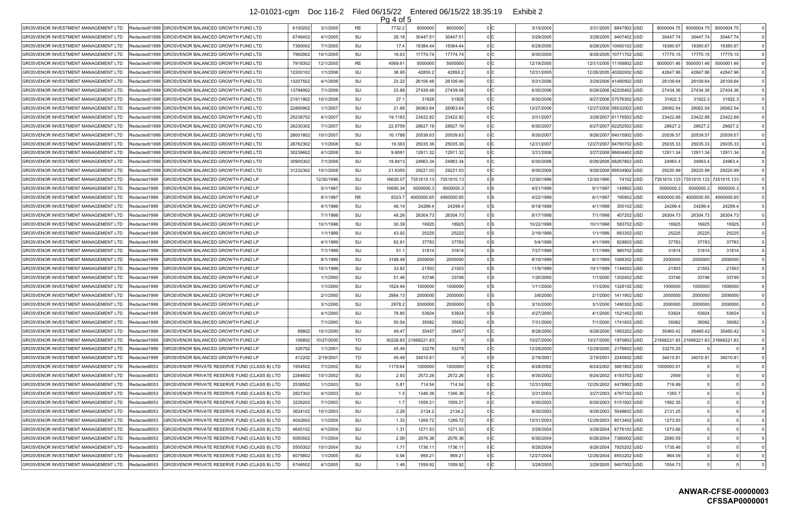|                                                              |                                                  |          |            |    | $Pa4$ of 5     |                      |            |                                      |            |                             |             |                                         |                   |          |
|--------------------------------------------------------------|--------------------------------------------------|----------|------------|----|----------------|----------------------|------------|--------------------------------------|------------|-----------------------------|-------------|-----------------------------------------|-------------------|----------|
| GROSVENOR INVESTMENT MANAGEMENT LTD<br>Redacted01998         | <b>GROSVENOR BALANCED GROWTH FUND LTD</b>        | 6100202  | 3/1/2005   | RE | 7732.2         | 8000000              | 8000000    | 0 IC<br>3/15/2005                    | 3/31/2005  | 8847902 USD                 | 8000004.75  | 8000004.7                               | 8000004.75        |          |
| GROSVENOR INVESTMENT MANAGEMENT LTD                          | Redacted01998 GROSVENOR BALANCED GROWTH FUND LTD | 6746402  | 4/1/2005   | SU | 29.18          | 30447.51             | 30447.51   | 0 IC<br>3/29/2005                    | 3/29/2005  | 9407402 USD                 | 30447.74    | 30447.74                                | 30447.74          |          |
| <b>GROSVENOR INVESTMENT MANAGEMENT LTD</b><br>Redacted01998  | IGROSVENOR BALANCED GROWTH FUND LTD              | 7360002  | 7/1/2005   | SU | 17.4           | 18384.44             | 18384.44   | 0 IC<br>6/28/2005                    | 6/28/2005  | 10060102 USD                | 18380.67    | 18380.67                                | 18380.67          |          |
| GROSVENOR INVESTMENT MANAGEMENT LTD<br>Redacted01998         | <b>GROSVENOR BALANCED GROWTH FUND LTD</b>        | 7992902  | 10/1/2005  | SU | 16.63          | 17774.74             | 17774.74   | 9/30/2005                            |            | 9/28/2005   10771702   USD  | 17775.15    | 17775.1                                 | 17775.15          |          |
| GROSVENOR INVESTMENT MANAGEMENT LTD<br>Redacted01998         | IGROSVENOR BALANCED GROWTH FUND LTD              | 7918302  | 12/1/2005  | RE | 4569.6         | 5000000              | 5000000    | 0 IC<br>12/19/2005                   |            | 12/31/2005   11168802   USD | 5000001.46  | 5000001.46                              | 5000001.46        |          |
| <b>GROSVENOR INVESTMENT MANAGEMENT LTD</b><br>Redacted01998  | IGROSVENOR BALANCED GROWTH FUND LTD              | 12200102 | 1/1/2006   | SU | 38.95          | 42850.2              | 42850.2    | 0 IC<br>12/31/2005                   |            | 12/28/2005 40282002 USD     | 42847.96    | 42847.96                                | 42847.96          |          |
| GROSVENOR INVESTMENT MANAGEMENT LTD<br>Redacted01998         | <b>GROSVENOR BALANCED GROWTH FUND LTD</b>        | 13207502 | 4/1/2006   | SU | 23.22          | 26106.46             | 26106.46   | 0 IC<br>5/31/2006                    |            | 3/29/2006 41480502 USD      | 26109.64    | 26109.64                                | 26109.64          | $\Omega$ |
| <b>GROSVENOR INVESTMENT MANAGEMENT LTD</b><br>IRedacted01998 | <b>GROSVENOR BALANCED GROWTH FUND LTD</b>        | 13794902 | 7/1/2006   | SU | 23.88          | 27439.48             | 27439.48   | 0 IC<br>6/30/2006                    |            | 6/28/2006 42205402 USD      | 27434.36    | 27434.36                                | 27434.36          |          |
| GROSVENOR INVESTMENT MANAGEMENT LTD<br>Redacted01998         | <b>IGROSVENOR BALANCED GROWTH FUND LTD</b>       | 21911902 | 10/1/2006  | SU | 27.7           | 31928                | 31928      | 0 <sub>IC</sub><br>9/30/2006         |            | 9/27/2006 57576302 USD      | 31922.3     | 31922.                                  | 31922.3           |          |
| <b>GROSVENOR INVESTMENT MANAGEMENT LTD</b><br>Redacted01998  | GROSVENOR BALANCED GROWTH FUND LTD               | 22880902 | 1/1/2007   | SU | 21.66          | 26063.84             | 26063.84   | 0 IC<br>12/27/2006                   |            | 12/27/2006 58532002 USD     | 26062.54    | 26062.54                                | 26062.54          |          |
| GROSVENOR INVESTMENT MANAGEMENT LTD<br>Redacted01998         | <b>GROSVENOR BALANCED GROWTH FUND LTD</b>        | 25238702 | 4/1/2007   | SU | 19.1183        | 23422.82             | 23422.82   | 3/31/2007                            |            | 3/28/2007 61176502 USD      | 23422.88    | 23422.88                                | 23422.88          |          |
| GROSVENOR INVESTMENT MANAGEMENT LTD<br>IRedacted01998        | IGROSVENOR BALANCED GROWTH FUND LTD              | 26230302 | 7/1/200    | SU | 22.875         | 28627.19             | 28627.19   | 0 IC<br>6/30/2007                    |            | 6/27/2007 62252502 USD      | 28627.2     | 28627.                                  | 28627.2           |          |
| <b>GROSVENOR INVESTMENT MANAGEMENT LTD</b><br>Redacted01998  | <b>GROSVENOR BALANCED GROWTH FUND LTD</b>        | 28001802 | 10/1/2007  | SU | 16.1788        | 20539.6              | 20539.63   | 9/30/2007                            |            | 9/26/2007 64015902 USD      | 20539.57    | 20539.5                                 | 20539.57          |          |
| <b>GROSVENOR INVESTMENT MANAGEMENT LTD</b>                   | Redacted01998 GROSVENOR BALANCED GROWTH FUND LTD | 28762302 | 1/1/2008   | SU | 19.38          | 25035.36             | 25035.36   | 0 IC<br>12/31/2007                   |            | 12/27/2007 64760702 USD     | 25035.33    | 25035.33                                | 25035.33          |          |
| GROSVENOR INVESTMENT MANAGEMENT LTD<br>IRedacted01998        | GROSVENOR BALANCED GROWTH FUND LTD               | 30239602 | 4/1/2008   | SU | 9.909          | 12911.32             | 12911.32   | 0 IC<br>3/31/2008                    |            | 3/27/2008 66604402 USD      | 12911.34    | 12911.34                                | 12911.34          |          |
| <b>GROSVENOR INVESTMENT MANAGEMENT LTD</b><br>IRedacted01998 | GROSVENOR BALANCED GROWTH FUND LTD               | 30905302 | 7/1/2008   | SU | 18.841         | 24963.34             | 24963.34   | 0 IC<br>6/30/2008                    |            | 6/26/2008 68267802 USD      | 24963.      | 24963.4                                 | 24963.4           |          |
| <b>GROSVENOR INVESTMENT MANAGEMENT LTD</b><br>Redacted01998  | <b>GROSVENOR BALANCED GROWTH FUND LTD</b>        | 31232302 | 10/1/2008  | SU | 21.635         | 29221.03             | 29221.03   | 0 IC<br>9/30/2008                    |            | 9/26/2008 69534902 USD      | 29220.99    | 29220.99                                | 29220.99          | $\Omega$ |
| GROSVENOR INVESTMENT MANAGEMENT LTD<br>Redacted1999          | GROSVENOR BALANCED GROWTH FUND LP                |          | 12/30/1996 | SU | 16630.0        | 7351615.13           | 7351615.13 | 0 IS<br>12/30/1996                   | 12/30/1996 | 74102 USD                   | 7351615.133 | 7351615.133                             | 7351615.133       |          |
| Redacted1999<br>GROSVENOR INVESTMENT MANAGEMENT LTD          | <b>GROSVENOR BALANCED GROWTH FUND LP</b>         |          | 5/1/1997   | SU | 10690.3        | 5000000.             | 5000000.3  | 0 IS<br>4/21/1998                    | 5/1/1997   | 149902 USD                  | 5000000.3   | 5000000.                                | 5000000.          | $\Omega$ |
| Redacted1999<br><b>GROSVENOR INVESTMENT MANAGEMENT LTD</b>   | <b>GROSVENOR BALANCED GROWTH FUND LP</b>         |          | 8/1/1997   | RE | 8323           | 4000000.65           | 4000000.65 | 0 IS.<br>4/22/1998                   | 8/1/1997   | 195902 USD                  | 4000000.65  | 4000000.65                              | 4000000.65        |          |
| GROSVENOR INVESTMENT MANAGEMENT LTD<br>Redacted1999          | <b>GROSVENOR BALANCED GROWTH FUND LP</b>         |          | 4/1/1998   | SU | 46.1           | 24299.4              | 24299.4    | 0 IS<br>6/18/1998                    | 4/1/1998   | 355102 USD                  | 24299.4     | 24299.4                                 | 24299.4           |          |
| GROSVENOR INVESTMENT MANAGEMENT LTD<br>IRedacted1999         | GROSVENOR BALANCED GROWTH FUND LP                |          | 7/1/1998   | SU | 48.26          | 26304.73             | 26304.73   | 0 IS<br>8/17/1998                    | 7/1/1998   | 457202 USD                  | 26304.73    | 26304.73                                | 26304.73          |          |
| <b>GROSVENOR INVESTMENT MANAGEMENT LTD</b><br>Redacted1999   | GROSVENOR BALANCED GROWTH FUND LP                |          | 10/1/1998  | SU | 30.39          | 16925                | 16925      | 0 IS<br>10/22/1998                   | 10/1/1998  | 583702 USD                  | 16925       | 16925                                   | 16925             |          |
| Redacted1999<br>GROSVENOR INVESTMENT MANAGEMENT LTD          | GROSVENOR BALANCED GROWTH FUND LP                |          | 1/1/1999   | SU | 43.92          | 25225                | 25225      | 0 IS<br>2/19/1999                    | 1/1/1999   | 693302 USD                  | 25225       | 25225                                   | 25225             |          |
| GROSVENOR INVESTMENT MANAGEMENT LTD<br>Redacted1999          | GROSVENOR BALANCED GROWTH FUND LP                |          | 4/1/1999   | SU | 62.91          | 37783                | 37783      | 0 IS<br>5/4/1999                     | 4/1/1999   | 828902  USD                 | 37783       | 37783                                   | 37783             |          |
| GROSVENOR INVESTMENT MANAGEMENT LTD<br>Redacted1999          | GROSVENOR BALANCED GROWTH FUND LP                |          | 7/1/1999   | SU | 51.7           | 31814                | 31814      | 0 IS<br>7/27/1999                    | 7/1/1999   | 980702 USD                  | 31814       | 31814                                   | 31814             |          |
| GROSVENOR INVESTMENT MANAGEMENT LTD<br>Redacted1999          | <b>GROSVENOR BALANCED GROWTH FUND LP</b>         |          | 8/1/1999   | SU | 3198.49        | 2000000              | 2000000    | 0 IS<br>8/10/1999                    | 8/1/1999   | 1068302 USD                 | 2000000     | 2000000                                 | 2000000           | $\Omega$ |
| Redacted1999<br>GROSVENOR INVESTMENT MANAGEMENT LTD          | GROSVENOR BALANCED GROWTH FUND LP                |          | 10/1/1999  | SU | 33.82          | 21503                | 21503      | 0 IS<br>11/9/1999                    | 10/1/1999  | 1144002 USD                 | 21503       | 21503                                   | 21503             |          |
| Redacted1999<br>GROSVENOR INVESTMENT MANAGEMENT LTD          | <b>GROSVENOR BALANCED GROWTH FUND LP</b>         |          | 1/1/2000   | SU | 51.46          | 33746                | 33746      | 0 IS<br>1/20/2000                    | 1/1/2000   | 1302402 USD                 | 33746       | 33746                                   | 33746             |          |
| Redacted1999<br>GROSVENOR INVESTMENT MANAGEMENT LTD          | <b>GROSVENOR BALANCED GROWTH FUND LP</b>         |          | 1/1/2000   | SU | 1524.94        | 1000000              | 1000000    | 0 IS.<br>1/11/2000                   | 1/1/2000   | 1328102 USD                 | 1000000     | 1000000                                 | 1000000           |          |
| <b>GROSVENOR INVESTMENT MANAGEMENT LTD</b><br>Redacted1999   | GROSVENOR BALANCED GROWTH FUND LP                |          | 2/1/2000   | SU | 2984.13        | 2000000              | 2000000    | 0 IS<br>3/8/2000                     | 2/1/2000   | 1411902 USD                 | 2000000     | 200000                                  | 2000000           |          |
| IGROSVENOR INVESTMENT MANAGEMENT LTD<br>Redacted1999         | IGROSVENOR BALANCED GROWTH FUND LP               |          | 3/1/2000   | SU | 2978.2         | 2000000              | 2000000    | 0 IS<br>3/10/2000                    |            | 3/1/2000   1490302 USD      | 2000000     | 200000                                  | 2000000           |          |
| <b>GROSVENOR INVESTMENT MANAGEMENT LTD</b>                   |                                                  |          | 4/1/2000   | SU |                |                      | 53924      | 0 IS                                 | 4/1/2000   |                             |             | 53924                                   |                   |          |
| Redacted1999                                                 | GROSVENOR BALANCED GROWTH FUND LP                |          |            |    | 78.85          | 53924                |            | 4/27/2000                            |            | 1521402 USD                 | 53924       |                                         | 53924             |          |
| Redacted1999<br>GROSVENOR INVESTMENT MANAGEMENT LTD          | <b>GROSVENOR BALANCED GROWTH FUND LP</b>         |          | 7/1/2000   | SU | 50.04          | 35082                | 35082      | 0 IS<br>7/31/2000<br>0 IC            | 7/1/2000   | 1741602 USD                 | 35082       | 35082<br>35460.42                       | 35082<br>35460.42 | $\Omega$ |
| Redacted1999<br>GROSVENOR INVESTMENT MANAGEMENT LTD          | GROSVENOR BALANCED GROWTH FUND LP                | 89802    | 10/1/2000  | SU | 49.47          | 35457                | 35457      | 9/28/2000<br>0 ls                    | 9/28/2000  | 1953202 USD                 | 35460.42    |                                         |                   | $\Omega$ |
| GROSVENOR INVESTMENT MANAGEMENT LTD<br>Redacted1999          | GROSVENOR BALANCED GROWTH FUND LP                | 106802   | 10/27/2000 | TO |                | 30228.83 21668221.83 |            | 10/27/2000                           | 10/27/2000 | 1970802 USD                 |             | 21668221.83   21668221.83   21668221.83 |                   |          |
| GROSVENOR INVESTMENT MANAGEMENT LTD<br>Redacted1999          | GROSVENOR BALANCED GROWTH FUND LP                | 326702   | 1/1/200    | SU | 45.49<br>45.49 | 33278<br>34010.81    | 33278      | 0 <sup>1</sup><br>12/29/2000<br>0 ls | 12/29/2000 | 2176602 USD                 | 33275.25    | 34010.8                                 |                   | $\Omega$ |
| Redacted1999<br>GROSVENOR INVESTMENT MANAGEMENT LTD          | GROSVENOR BALANCED GROWTH FUND LP                | 412202   | 2/19/200   | TO |                |                      |            | 2/19/2001<br>0 IC                    | 2/19/2001  | 2245602 USD                 | 34010.81    |                                         | 34010.81          |          |
| Redacted8053<br>GROSVENOR INVESTMENT MANAGEMENT LTD          | GROSVENOR PRIVATE RESERVE FUND (CLASS B) LTD     | 1954502  | 7/1/2002   | SU | 1179.64        | 1000000              | 1000000    | 6/28/2002                            | 6/24/2002  | 3861802 USD                 | 1000003.01  |                                         |                   | $\Omega$ |
| Redacted8053<br><b>GROSVENOR INVESTMENT MANAGEMENT LTD</b>   | GROSVENOR PRIVATE RESERVE FUND (CLASS B) LTD     | 2264602  | 10/1/2002  | SU | 2.93           | 2572.26              | 2572.26    | 0 IC<br>9/30/2002<br>0 IC            | 9/24/2002  | 4183702 USD                 | 2569        |                                         |                   |          |
| Redacted8053<br>GROSVENOR INVESTMENT MANAGEMENT LTD          | GROSVENOR PRIVATE RESERVE FUND (CLASS B) LTD     | 2538502  | 1/1/2003   | SU | 0.81           | 714.54               | 714.54     | 12/31/2002                           | 12/25/2002 | 4478902 USD                 | 716.99      |                                         |                   |          |
| <b>GROSVENOR INVESTMENT MANAGEMENT LTD</b><br>Redacted8053   | GROSVENOR PRIVATE RESERVE FUND (CLASS B) LTD     | 2827302  | 4/1/2003   | SU | 1.5            | 1346.36              | 1346.36    | 0 C<br>3/31/2003                     | 3/27/2003  | 4767102  USD                | 1350.7      |                                         |                   |          |
| <b>GROSVENOR INVESTMENT MANAGEMENT LTD</b><br>Redacted8053   | GROSVENOR PRIVATE RESERVE FUND (CLASS B) LTD     | 3226202  | 7/1/2003   | SU | 1.7            | 1559.21              | 1559.21    | 0 IC<br>6/30/2003                    | 6/26/2003  | 5151002 USD                 | 1562.35     |                                         |                   |          |
| Redacted8053<br>GROSVENOR INVESTMENT MANAGEMENT LTD          | GROSVENOR PRIVATE RESERVE FUND (CLASS B) LTD     | 3624102  | 10/1/2003  | SU | 2.26           | 2134.2               | 2134.2     | 0 IC<br>9/30/2003                    | 9/26/2003  | 5548802 USD                 | 2131.25     |                                         |                   |          |
| Redacted8053<br>GROSVENOR INVESTMENT MANAGEMENT LTD          | GROSVENOR PRIVATE RESERVE FUND (CLASS B) LTD     | 4042602  | 1/1/2004   | SU | 1.33           | 1269.72              | 1269.72    | 0 C<br>12/31/2003                    | 12/29/2003 | 6013402 USD                 | 1273.93     |                                         |                   |          |
| <b>GROSVENOR INVESTMENT MANAGEMENT LTD</b><br>Redacted8053   | GROSVENOR PRIVATE RESERVE FUND (CLASS B) LTD     | 4645102  | 4/1/2004   | SU | 1.31           | 1271.53              | 1271.53    | 0 lC<br>3/29/2004                    | 3/29/2004  | 6776102 USD                 | 1273.66     |                                         |                   |          |
| Redacted8053<br>GROSVENOR INVESTMENT MANAGEMENT LTD          | GROSVENOR PRIVATE RESERVE FUND (CLASS B) LTD     | 5093502  | 7/1/2004   | SU | 2.09           | 2076.36              | 2076.36    | 0 C<br>6/30/2004                     | 6/28/2004  | 7380002 USD                 | 2080.59     |                                         |                   |          |
| Redacted8053<br><b>GROSVENOR INVESTMENT MANAGEMENT LTD</b>   | GROSVENOR PRIVATE RESERVE FUND (CLASS B) LTD     | 5500302  | 10/1/2004  | SU | 1.71           | 1736.1               | 1736.11    | 0 IC<br>9/28/2004                    | 9/28/2004  | 7925202 USD                 | 1735.46     |                                         |                   |          |
| GROSVENOR INVESTMENT MANAGEMENT LTD<br>Redacted8053          | GROSVENOR PRIVATE RESERVE FUND (CLASS B) LTD     | 6075802  | 1/1/2005   | SU | 0.94           | 959.21               | 959.21     | 0 IC<br>12/27/2004                   | 12/29/2004 | 8553202 USD                 | 964.09      |                                         |                   |          |
| GROSVENOR INVESTMENT MANAGEMENT LTD<br>Redacted8053          | GROSVENOR PRIVATE RESERVE FUND (CLASS B) LTD     | 6746502  | 4/1/2005   | SU | 1.49           | 1559.92              | 1559.92    | 0 C<br>3/29/2005                     | 3/29/2005  | 9407502 USD                 | 1554.73     |                                         |                   |          |